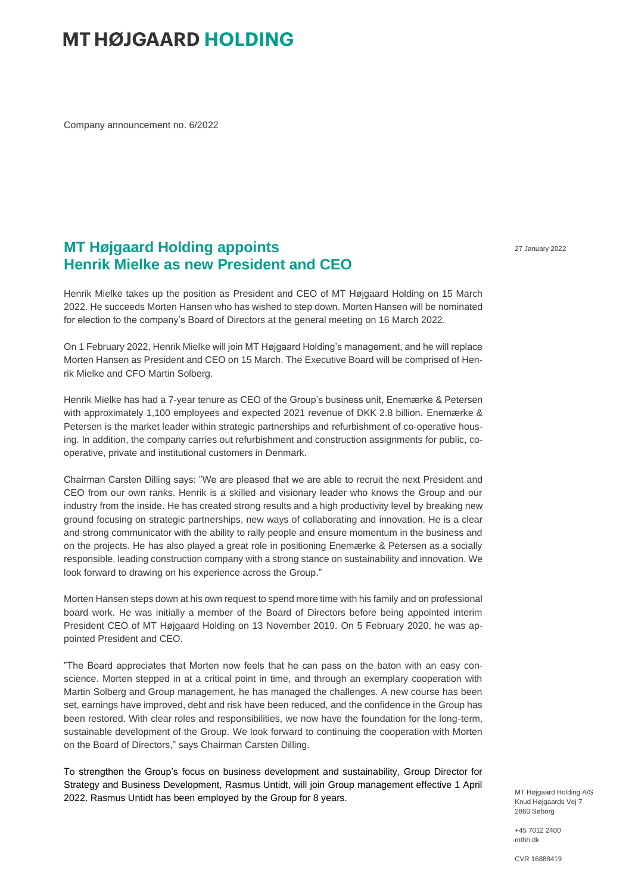# **MT HØJGAARD HOLDING**

Company announcement no. 6/2022

### **MT Højgaard Holding appoints Henrik Mielke as new President and CEO**

27 January 2022

Henrik Mielke takes up the position as President and CEO of MT Højgaard Holding on 15 March 2022. He succeeds Morten Hansen who has wished to step down. Morten Hansen will be nominated for election to the company's Board of Directors at the general meeting on 16 March 2022.

On 1 February 2022, Henrik Mielke will join MT Højgaard Holding's management, and he will replace Morten Hansen as President and CEO on 15 March. The Executive Board will be comprised of Henrik Mielke and CFO Martin Solberg.

Henrik Mielke has had a 7-year tenure as CEO of the Group's business unit, Enemærke & Petersen with approximately 1,100 employees and expected 2021 revenue of DKK 2.8 billion. Enemærke & Petersen is the market leader within strategic partnerships and refurbishment of co-operative housing. In addition, the company carries out refurbishment and construction assignments for public, cooperative, private and institutional customers in Denmark.

Chairman Carsten Dilling says: "We are pleased that we are able to recruit the next President and CEO from our own ranks. Henrik is a skilled and visionary leader who knows the Group and our industry from the inside. He has created strong results and a high productivity level by breaking new ground focusing on strategic partnerships, new ways of collaborating and innovation. He is a clear and strong communicator with the ability to rally people and ensure momentum in the business and on the projects. He has also played a great role in positioning Enemærke & Petersen as a socially responsible, leading construction company with a strong stance on sustainability and innovation. We look forward to drawing on his experience across the Group."

Morten Hansen steps down at his own request to spend more time with his family and on professional board work. He was initially a member of the Board of Directors before being appointed interim President CEO of MT Højgaard Holding on 13 November 2019. On 5 February 2020, he was appointed President and CEO.

"The Board appreciates that Morten now feels that he can pass on the baton with an easy conscience. Morten stepped in at a critical point in time, and through an exemplary cooperation with Martin Solberg and Group management, he has managed the challenges. A new course has been set, earnings have improved, debt and risk have been reduced, and the confidence in the Group has been restored. With clear roles and responsibilities, we now have the foundation for the long-term, sustainable development of the Group. We look forward to continuing the cooperation with Morten on the Board of Directors," says Chairman Carsten Dilling.

To strengthen the Group's focus on business development and sustainability, Group Director for Strategy and Business Development, Rasmus Untidt, will join Group management effective 1 April 2022. Rasmus Untidt has been employed by the Group for 8 years.

MT Højgaard Holding A/S Knud Højgaards Vej 7 2860 Søborg

+45 7012 2400 mthh.dk

CVR 16888419